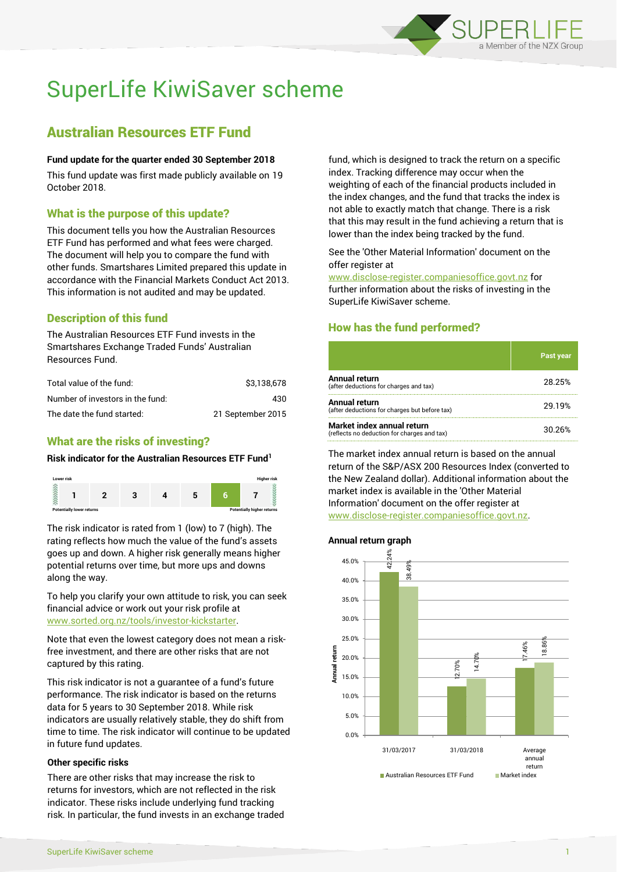

# SuperLife KiwiSaver scheme

## Australian Resources ETF Fund

#### **Fund update for the quarter ended 30 September 2018**

This fund update was first made publicly available on 19 October 2018.

#### What is the purpose of this update?

This document tells you how the Australian Resources ETF Fund has performed and what fees were charged. The document will help you to compare the fund with other funds. Smartshares Limited prepared this update in accordance with the Financial Markets Conduct Act 2013. This information is not audited and may be updated.

## Description of this fund

The Australian Resources ETF Fund invests in the Smartshares Exchange Traded Funds' Australian Resources Fund.

| Total value of the fund:         | \$3.138.678       |
|----------------------------------|-------------------|
| Number of investors in the fund: | 430               |
| The date the fund started:       | 21 September 2015 |

## What are the risks of investing?

#### **Risk indicator for the Australian Resources ETF Fund<sup>1</sup>**



The risk indicator is rated from 1 (low) to 7 (high). The rating reflects how much the value of the fund's assets goes up and down. A higher risk generally means higher potential returns over time, but more ups and downs along the way.

To help you clarify your own attitude to risk, you can seek financial advice or work out your risk profile at [www.sorted.org.nz/tools/investor-kickstarter.](http://www.sorted.org.nz/tools/investor-kickstarter)

Note that even the lowest category does not mean a riskfree investment, and there are other risks that are not captured by this rating.

This risk indicator is not a guarantee of a fund's future performance. The risk indicator is based on the returns data for 5 years to 30 September 2018. While risk indicators are usually relatively stable, they do shift from time to time. The risk indicator will continue to be updated in future fund updates.

#### **Other specific risks**

There are other risks that may increase the risk to returns for investors, which are not reflected in the risk indicator. These risks include underlying fund tracking risk. In particular, the fund invests in an exchange traded fund, which is designed to track the return on a specific index. Tracking difference may occur when the weighting of each of the financial products included in the index changes, and the fund that tracks the index is not able to exactly match that change. There is a risk that this may result in the fund achieving a return that is lower than the index being tracked by the fund.

See the 'Other Material Information' document on the offer register at

www.disclose-register.companiesoffice.govt.nz for further information about the risks of investing in the SuperLife KiwiSaver scheme.

## How has the fund performed?

|                                                                           | Past year |
|---------------------------------------------------------------------------|-----------|
| Annual return<br>(after deductions for charges and tax)                   | 28.25%    |
| <b>Annual return</b><br>(after deductions for charges but before tax)     | 29.19%    |
| Market index annual return<br>(reflects no deduction for charges and tax) | 30.26%    |

The market index annual return is based on the annual return of the S&P/ASX 200 Resources Index (converted to the New Zealand dollar). Additional information about the market index is available in the 'Other Material Information' document on the offer register at www.disclose-register.companiesoffice.govt.nz.

#### **Annual return graph**

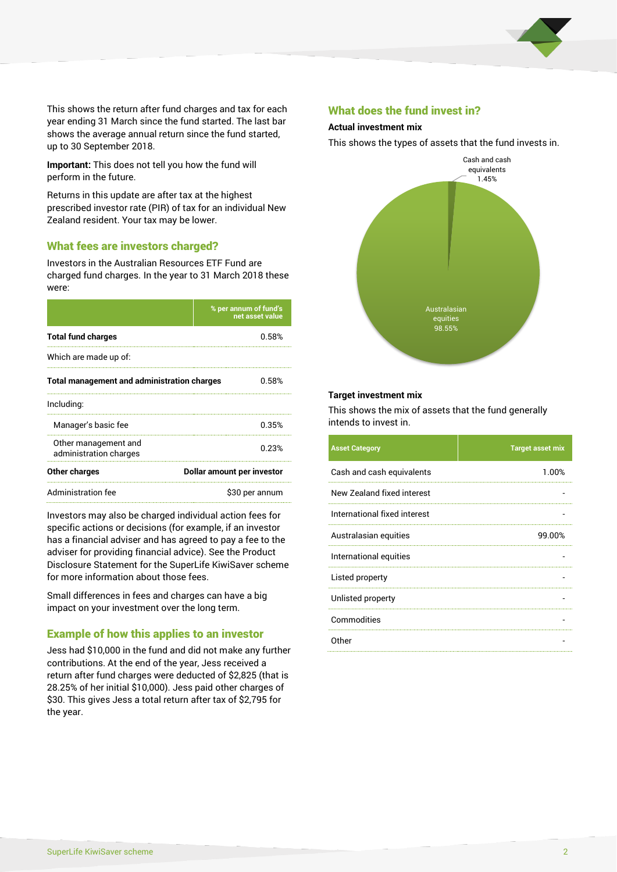

This shows the return after fund charges and tax for each year ending 31 March since the fund started. The last bar shows the average annual return since the fund started, up to 30 September 2018.

**Important:** This does not tell you how the fund will perform in the future.

Returns in this update are after tax at the highest prescribed investor rate (PIR) of tax for an individual New Zealand resident. Your tax may be lower.

#### What fees are investors charged?

Investors in the Australian Resources ETF Fund are charged fund charges. In the year to 31 March 2018 these were:

|                                                    | % per annum of fund's<br>net asset value |  |
|----------------------------------------------------|------------------------------------------|--|
| <b>Total fund charges</b>                          | 0.58%                                    |  |
| Which are made up of:                              |                                          |  |
| <b>Total management and administration charges</b> | 0.58%                                    |  |
| Including:                                         |                                          |  |
| Manager's basic fee                                | 0.35%                                    |  |
| Other management and<br>administration charges     | 0.23%                                    |  |
| Other charges                                      | Dollar amount per investor               |  |
| Administration fee                                 | \$30 per annum                           |  |

Investors may also be charged individual action fees for specific actions or decisions (for example, if an investor has a financial adviser and has agreed to pay a fee to the adviser for providing financial advice). See the Product Disclosure Statement for the SuperLife KiwiSaver scheme for more information about those fees.

Small differences in fees and charges can have a big impact on your investment over the long term.

#### Example of how this applies to an investor

Jess had \$10,000 in the fund and did not make any further contributions. At the end of the year, Jess received a return after fund charges were deducted of \$2,825 (that is 28.25% of her initial \$10,000). Jess paid other charges of \$30. This gives Jess a total return after tax of \$2,795 for the year.

#### What does the fund invest in?

#### **Actual investment mix**

This shows the types of assets that the fund invests in.



#### **Target investment mix**

This shows the mix of assets that the fund generally intends to invest in.

| <b>Asset Category</b>        | <b>Target asset mix</b> |
|------------------------------|-------------------------|
| Cash and cash equivalents    | 1.00%                   |
| New Zealand fixed interest   |                         |
| International fixed interest |                         |
| Australasian equities        | 99.00%                  |
| International equities       |                         |
| Listed property              |                         |
| Unlisted property            |                         |
| Commodities                  |                         |
| Other                        |                         |